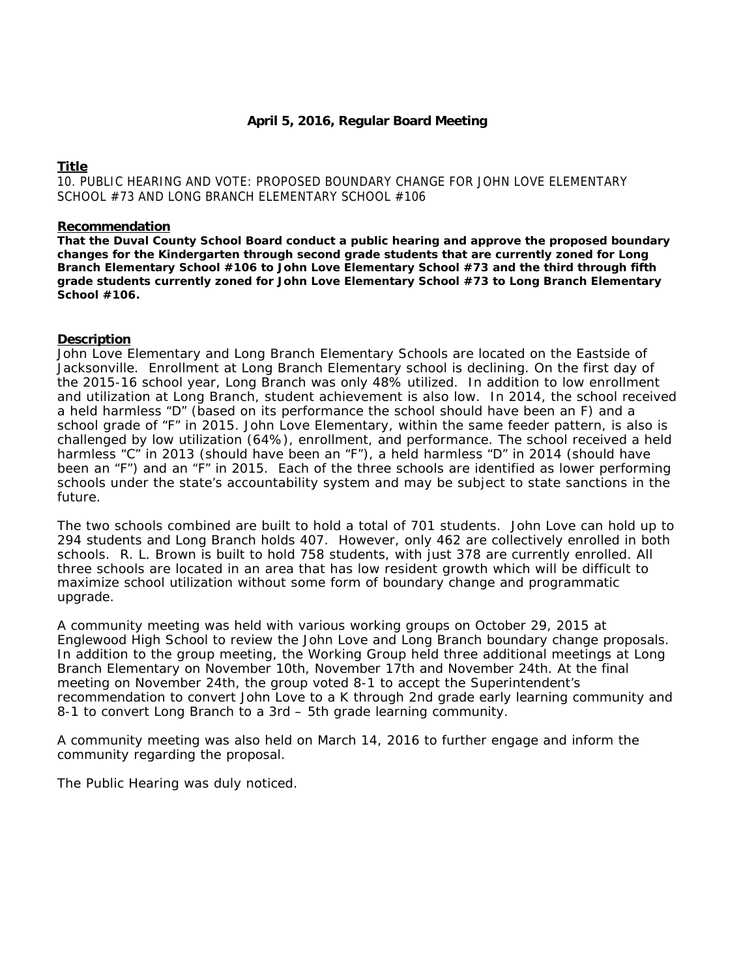# **Title**

10. PUBLIC HEARING AND VOTE: PROPOSED BOUNDARY CHANGE FOR JOHN LOVE ELEMENTARY SCHOOL #73 AND LONG BRANCH ELEMENTARY SCHOOL #106

### **Recommendation**

**That the Duval County School Board conduct a public hearing and approve the proposed boundary changes for the Kindergarten through second grade students that are currently zoned for Long Branch Elementary School #106 to John Love Elementary School #73 and the third through fifth grade students currently zoned for John Love Elementary School #73 to Long Branch Elementary School #106.**

# **Description**

John Love Elementary and Long Branch Elementary Schools are located on the Eastside of Jacksonville. Enrollment at Long Branch Elementary school is declining. On the first day of the 2015-16 school year, Long Branch was only 48% utilized. In addition to low enrollment and utilization at Long Branch, student achievement is also low. In 2014, the school received a held harmless "D" (based on its performance the school should have been an F) and a school grade of "F" in 2015. John Love Elementary, within the same feeder pattern, is also is challenged by low utilization (64%), enrollment, and performance. The school received a held harmless "C" in 2013 (should have been an "F"), a held harmless "D" in 2014 (should have been an "F") and an "F" in 2015. Each of the three schools are identified as lower performing schools under the state's accountability system and may be subject to state sanctions in the future.

The two schools combined are built to hold a total of 701 students. John Love can hold up to 294 students and Long Branch holds 407. However, only 462 are collectively enrolled in both schools. R. L. Brown is built to hold 758 students, with just 378 are currently enrolled. All three schools are located in an area that has low resident growth which will be difficult to maximize school utilization without some form of boundary change and programmatic upgrade.

A community meeting was held with various working groups on October 29, 2015 at Englewood High School to review the John Love and Long Branch boundary change proposals. In addition to the group meeting, the Working Group held three additional meetings at Long Branch Elementary on November 10th, November 17th and November 24th. At the final meeting on November 24th, the group voted 8-1 to accept the Superintendent's recommendation to convert John Love to a K through 2nd grade early learning community and 8-1 to convert Long Branch to a 3rd – 5th grade learning community.

A community meeting was also held on March 14, 2016 to further engage and inform the community regarding the proposal.

The Public Hearing was duly noticed.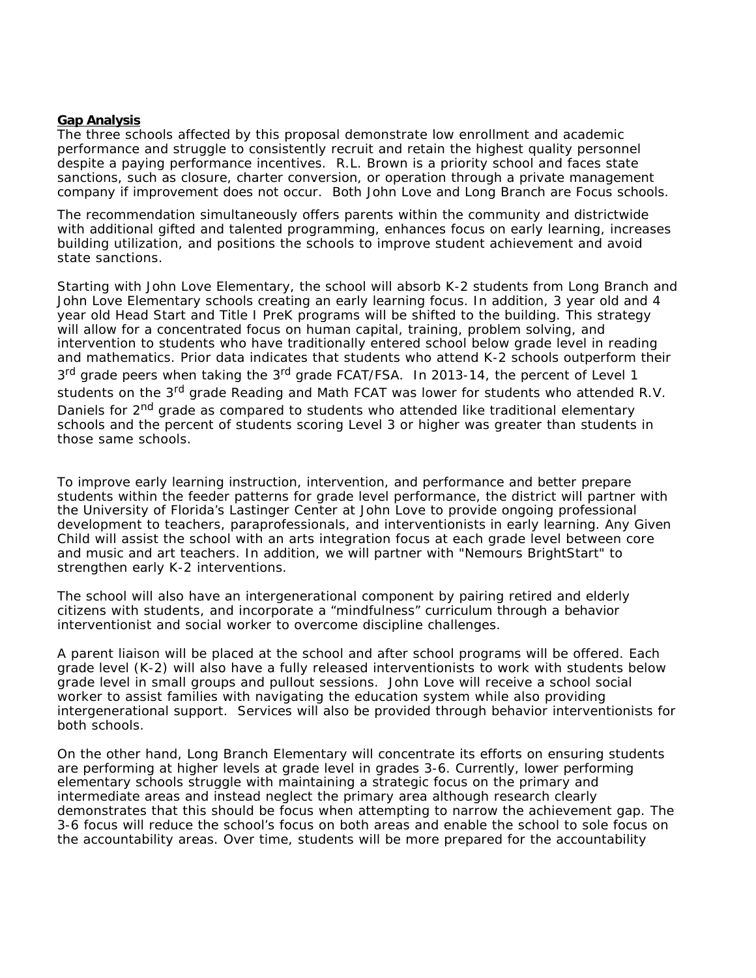### **Gap Analysis**

The three schools affected by this proposal demonstrate low enrollment and academic performance and struggle to consistently recruit and retain the highest quality personnel despite a paying performance incentives. R.L. Brown is a priority school and faces state sanctions, such as closure, charter conversion, or operation through a private management company if improvement does not occur. Both John Love and Long Branch are Focus schools.

The recommendation simultaneously offers parents within the community and districtwide with additional gifted and talented programming, enhances focus on early learning, increases building utilization, and positions the schools to improve student achievement and avoid state sanctions.

Starting with John Love Elementary, the school will absorb K-2 students from Long Branch and John Love Elementary schools creating an early learning focus. In addition, 3 year old and 4 year old Head Start and Title I PreK programs will be shifted to the building. This strategy will allow for a concentrated focus on human capital, training, problem solving, and intervention to students who have traditionally entered school below grade level in reading and mathematics. Prior data indicates that students who attend K-2 schools outperform their 3<sup>rd</sup> grade peers when taking the 3<sup>rd</sup> grade FCAT/FSA. In 2013-14, the percent of Level 1 students on the 3<sup>rd</sup> grade Reading and Math FCAT was lower for students who attended R.V. Daniels for 2<sup>nd</sup> grade as compared to students who attended like traditional elementary schools and the percent of students scoring Level 3 or higher was greater than students in those same schools.

To improve early learning instruction, intervention, and performance and better prepare students within the feeder patterns for grade level performance, the district will partner with the University of Florida's Lastinger Center at John Love to provide ongoing professional development to teachers, paraprofessionals, and interventionists in early learning. Any Given Child will assist the school with an arts integration focus at each grade level between core and music and art teachers. In addition, we will partner with "Nemours BrightStart" to strengthen early K-2 interventions.

The school will also have an intergenerational component by pairing retired and elderly citizens with students, and incorporate a "mindfulness" curriculum through a behavior interventionist and social worker to overcome discipline challenges.

A parent liaison will be placed at the school and after school programs will be offered. Each grade level (K-2) will also have a fully released interventionists to work with students below grade level in small groups and pullout sessions. John Love will receive a school social worker to assist families with navigating the education system while also providing intergenerational support. Services will also be provided through behavior interventionists for both schools.

On the other hand, Long Branch Elementary will concentrate its efforts on ensuring students are performing at higher levels at grade level in grades 3-6. Currently, lower performing elementary schools struggle with maintaining a strategic focus on the primary and intermediate areas and instead neglect the primary area although research clearly demonstrates that this should be focus when attempting to narrow the achievement gap. The 3-6 focus will reduce the school's focus on both areas and enable the school to sole focus on the accountability areas. Over time, students will be more prepared for the accountability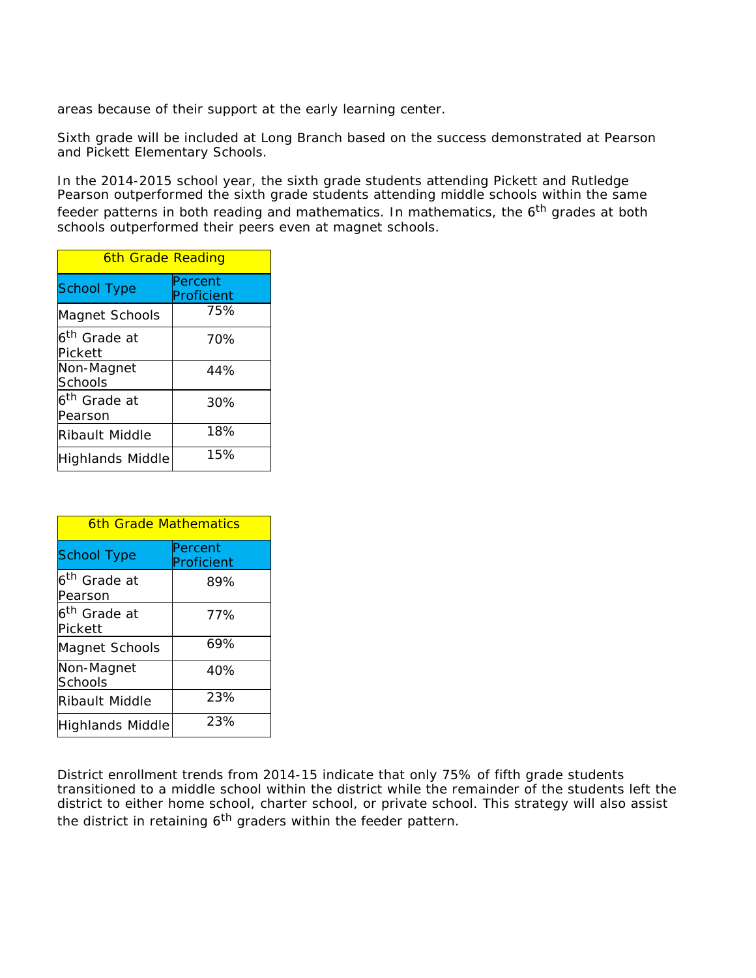areas because of their support at the early learning center.

Sixth grade will be included at Long Branch based on the success demonstrated at Pearson and Pickett Elementary Schools.

In the 2014-2015 school year, the sixth grade students attending Pickett and Rutledge Pearson outperformed the sixth grade students attending middle schools within the same feeder patterns in both reading and mathematics. In mathematics, the  $6<sup>th</sup>$  grades at both schools outperformed their peers even at magnet schools.

| 6th Grade Reading                   |                       |
|-------------------------------------|-----------------------|
| <b>School Type</b>                  | Percent<br>Proficient |
| Magnet Schools                      | 75%                   |
| 6 <sup>th</sup> Grade at<br>Pickett | 70%                   |
| Non-Magnet<br>Schools               | 44%                   |
| 6 <sup>th</sup> Grade at<br>Pearson | 30%                   |
| Ribault Middle                      | 18%                   |
| Highlands Middle                    | 15%                   |

| 6th Grade Mathematics               |                       |
|-------------------------------------|-----------------------|
| School Type                         | Percent<br>Proficient |
| 6 <sup>th</sup> Grade at<br>Pearson | 89%                   |
| 6 <sup>th</sup> Grade at<br>Pickett | 77%                   |
| Magnet Schools                      | 69%                   |
| Non-Magnet<br>Schools               | 40%                   |
| Ribault Middle                      | 23%                   |
| Highlands Middle                    | 23%                   |

District enrollment trends from 2014-15 indicate that only 75% of fifth grade students transitioned to a middle school within the district while the remainder of the students left the district to either home school, charter school, or private school. This strategy will also assist the district in retaining 6<sup>th</sup> graders within the feeder pattern.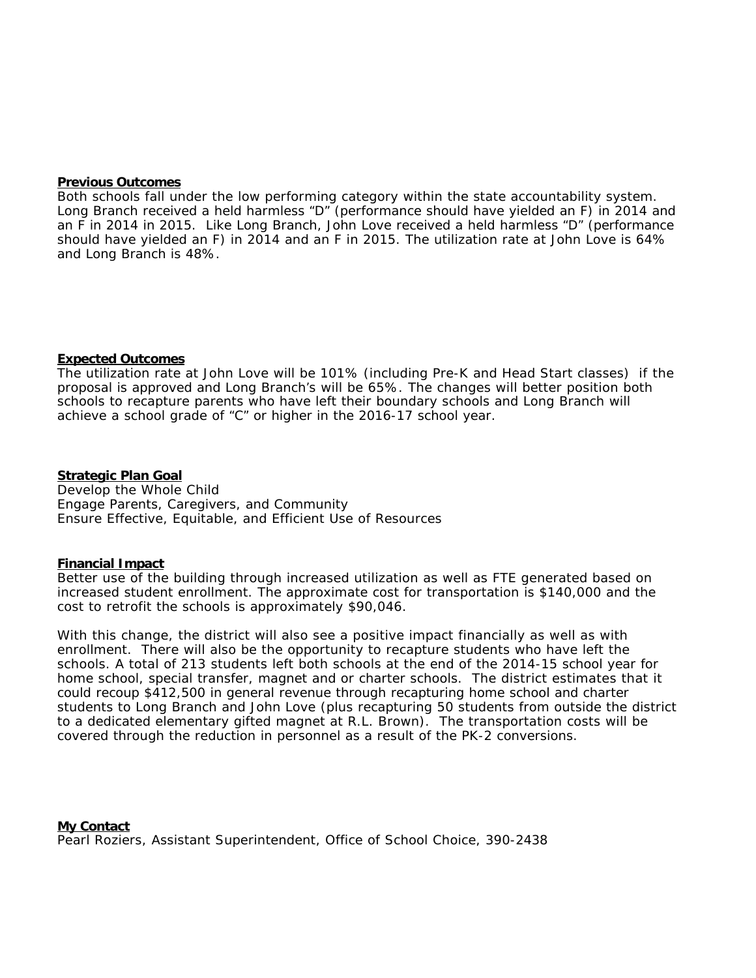### **Previous Outcomes**

Both schools fall under the low performing category within the state accountability system. Long Branch received a held harmless "D" (performance should have yielded an F) in 2014 and an F in 2014 in 2015. Like Long Branch, John Love received a held harmless "D" (performance should have yielded an F) in 2014 and an F in 2015. The utilization rate at John Love is 64% and Long Branch is 48%.

# **Expected Outcomes**

The utilization rate at John Love will be 101% (including Pre-K and Head Start classes) if the proposal is approved and Long Branch's will be 65%. The changes will better position both schools to recapture parents who have left their boundary schools and Long Branch will achieve a school grade of "C" or higher in the 2016-17 school year.

**Strategic Plan Goal** Develop the Whole Child Engage Parents, Caregivers, and Community Ensure Effective, Equitable, and Efficient Use of Resources

### **Financial Impact**

Better use of the building through increased utilization as well as FTE generated based on increased student enrollment. The approximate cost for transportation is \$140,000 and the cost to retrofit the schools is approximately \$90,046.

With this change, the district will also see a positive impact financially as well as with enrollment. There will also be the opportunity to recapture students who have left the schools. A total of 213 students left both schools at the end of the 2014-15 school year for home school, special transfer, magnet and or charter schools. The district estimates that it could recoup \$412,500 in general revenue through recapturing home school and charter students to Long Branch and John Love (plus recapturing 50 students from outside the district to a dedicated elementary gifted magnet at R.L. Brown). The transportation costs will be covered through the reduction in personnel as a result of the PK-2 conversions.